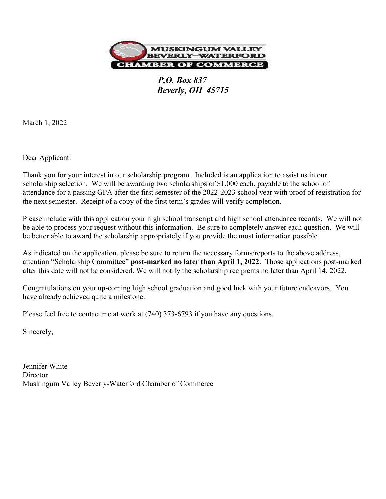

 P.O. Box 837 Beverly, OH 45715

March 1, 2022

Dear Applicant:

Thank you for your interest in our scholarship program. Included is an application to assist us in our scholarship selection. We will be awarding two scholarships of \$1,000 each, payable to the school of attendance for a passing GPA after the first semester of the 2022-2023 school year with proof of registration for the next semester. Receipt of a copy of the first term's grades will verify completion.

Please include with this application your high school transcript and high school attendance records. We will not be able to process your request without this information. Be sure to completely answer each question. We will be better able to award the scholarship appropriately if you provide the most information possible.

As indicated on the application, please be sure to return the necessary forms/reports to the above address, attention "Scholarship Committee" post-marked no later than April 1, 2022. Those applications post-marked after this date will not be considered. We will notify the scholarship recipients no later than April 14, 2022.

Congratulations on your up-coming high school graduation and good luck with your future endeavors. You have already achieved quite a milestone.

Please feel free to contact me at work at (740) 373-6793 if you have any questions.

Sincerely,

Jennifer White **Director** Muskingum Valley Beverly-Waterford Chamber of Commerce